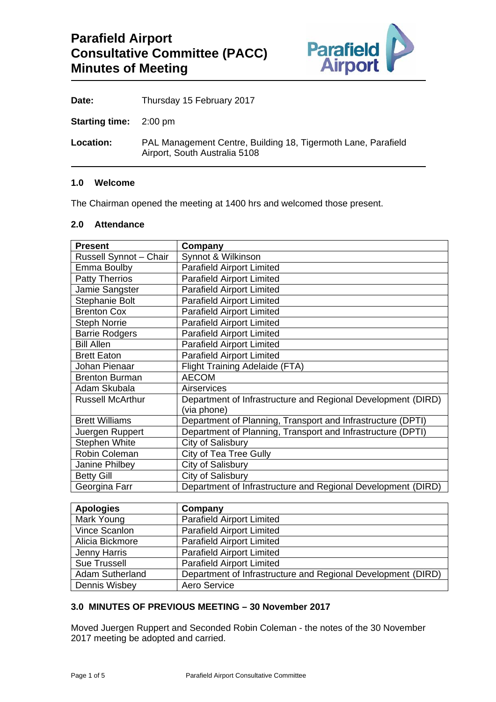

Date: Thursday 15 February 2017

**Starting time:** 2:00 pm

**Location:** PAL Management Centre, Building 18, Tigermoth Lane, Parafield Airport, South Australia 5108

### **1.0 Welcome**

The Chairman opened the meeting at 1400 hrs and welcomed those present.

### **2.0 Attendance**

| <b>Present</b>          | Company                                                      |
|-------------------------|--------------------------------------------------------------|
| Russell Synnot - Chair  | Synnot & Wilkinson                                           |
| Emma Boulby             | <b>Parafield Airport Limited</b>                             |
| <b>Patty Therrios</b>   | <b>Parafield Airport Limited</b>                             |
| Jamie Sangster          | <b>Parafield Airport Limited</b>                             |
| Stephanie Bolt          | <b>Parafield Airport Limited</b>                             |
| <b>Brenton Cox</b>      | <b>Parafield Airport Limited</b>                             |
| <b>Steph Norrie</b>     | <b>Parafield Airport Limited</b>                             |
| <b>Barrie Rodgers</b>   | <b>Parafield Airport Limited</b>                             |
| <b>Bill Allen</b>       | <b>Parafield Airport Limited</b>                             |
| <b>Brett Eaton</b>      | <b>Parafield Airport Limited</b>                             |
| Johan Pienaar           | <b>Flight Training Adelaide (FTA)</b>                        |
| <b>Brenton Burman</b>   | <b>AECOM</b>                                                 |
| Adam Skubala            | Airservices                                                  |
| <b>Russell McArthur</b> | Department of Infrastructure and Regional Development (DIRD) |
|                         | (via phone)                                                  |
| <b>Brett Williams</b>   | Department of Planning, Transport and Infrastructure (DPTI)  |
| Juergen Ruppert         | Department of Planning, Transport and Infrastructure (DPTI)  |
| <b>Stephen White</b>    | <b>City of Salisbury</b>                                     |
| Robin Coleman           | City of Tea Tree Gully                                       |
| Janine Philbey          | City of Salisbury                                            |
| <b>Betty Gill</b>       | City of Salisbury                                            |
| Georgina Farr           | Department of Infrastructure and Regional Development (DIRD) |

| <b>Apologies</b>       | Company                                                      |
|------------------------|--------------------------------------------------------------|
| Mark Young             | <b>Parafield Airport Limited</b>                             |
| Vince Scanlon          | <b>Parafield Airport Limited</b>                             |
| Alicia Bickmore        | <b>Parafield Airport Limited</b>                             |
| Jenny Harris           | <b>Parafield Airport Limited</b>                             |
| <b>Sue Trussell</b>    | <b>Parafield Airport Limited</b>                             |
| <b>Adam Sutherland</b> | Department of Infrastructure and Regional Development (DIRD) |
| Dennis Wisbey          | Aero Service                                                 |

### **3.0 MINUTES OF PREVIOUS MEETING – 30 November 2017**

Moved Juergen Ruppert and Seconded Robin Coleman - the notes of the 30 November 2017 meeting be adopted and carried.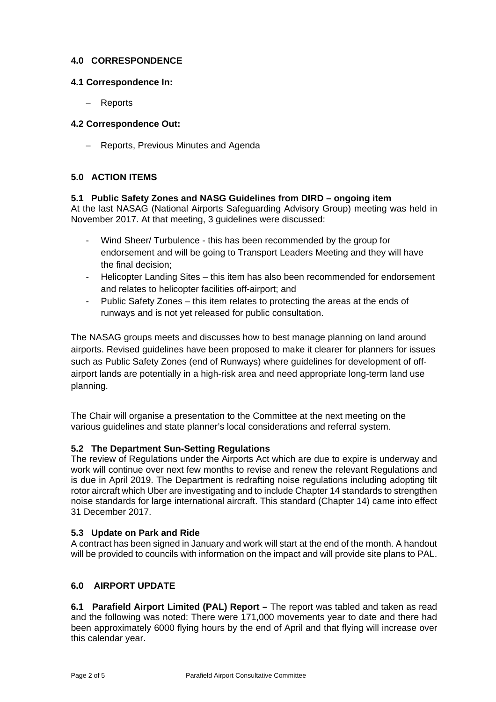# **4.0 CORRESPONDENCE**

### **4.1 Correspondence In:**

Reports

# **4.2 Correspondence Out:**

- Reports, Previous Minutes and Agenda

# **5.0 ACTION ITEMS**

#### **5.1 Public Safety Zones and NASG Guidelines from DIRD – ongoing item**  At the last NASAG (National Airports Safeguarding Advisory Group) meeting was held in November 2017. At that meeting, 3 guidelines were discussed:

- Wind Sheer/ Turbulence this has been recommended by the group for endorsement and will be going to Transport Leaders Meeting and they will have the final decision;
- Helicopter Landing Sites this item has also been recommended for endorsement and relates to helicopter facilities off-airport; and
- Public Safety Zones this item relates to protecting the areas at the ends of runways and is not yet released for public consultation.

The NASAG groups meets and discusses how to best manage planning on land around airports. Revised guidelines have been proposed to make it clearer for planners for issues such as Public Safety Zones (end of Runways) where guidelines for development of offairport lands are potentially in a high-risk area and need appropriate long-term land use planning.

The Chair will organise a presentation to the Committee at the next meeting on the various guidelines and state planner's local considerations and referral system.

### **5.2 The Department Sun-Setting Regulations**

The review of Regulations under the Airports Act which are due to expire is underway and work will continue over next few months to revise and renew the relevant Regulations and is due in April 2019. The Department is redrafting noise regulations including adopting tilt rotor aircraft which Uber are investigating and to include Chapter 14 standards to strengthen noise standards for large international aircraft. This standard (Chapter 14) came into effect 31 December 2017.

# **5.3 Update on Park and Ride**

A contract has been signed in January and work will start at the end of the month. A handout will be provided to councils with information on the impact and will provide site plans to PAL.

### **6.0 AIRPORT UPDATE**

**6.1 Parafield Airport Limited (PAL) Report –** The report was tabled and taken as read and the following was noted: There were 171,000 movements year to date and there had been approximately 6000 flying hours by the end of April and that flying will increase over this calendar year.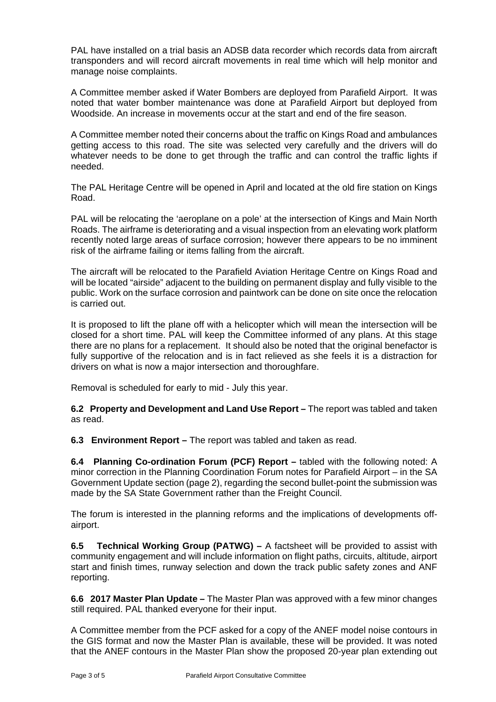PAL have installed on a trial basis an ADSB data recorder which records data from aircraft transponders and will record aircraft movements in real time which will help monitor and manage noise complaints.

A Committee member asked if Water Bombers are deployed from Parafield Airport. It was noted that water bomber maintenance was done at Parafield Airport but deployed from Woodside. An increase in movements occur at the start and end of the fire season.

A Committee member noted their concerns about the traffic on Kings Road and ambulances getting access to this road. The site was selected very carefully and the drivers will do whatever needs to be done to get through the traffic and can control the traffic lights if needed.

The PAL Heritage Centre will be opened in April and located at the old fire station on Kings Road.

PAL will be relocating the 'aeroplane on a pole' at the intersection of Kings and Main North Roads. The airframe is deteriorating and a visual inspection from an elevating work platform recently noted large areas of surface corrosion; however there appears to be no imminent risk of the airframe failing or items falling from the aircraft.

The aircraft will be relocated to the Parafield Aviation Heritage Centre on Kings Road and will be located "airside" adjacent to the building on permanent display and fully visible to the public. Work on the surface corrosion and paintwork can be done on site once the relocation is carried out.

It is proposed to lift the plane off with a helicopter which will mean the intersection will be closed for a short time. PAL will keep the Committee informed of any plans. At this stage there are no plans for a replacement. It should also be noted that the original benefactor is fully supportive of the relocation and is in fact relieved as she feels it is a distraction for drivers on what is now a major intersection and thoroughfare.

Removal is scheduled for early to mid - July this year.

**6.2 Property and Development and Land Use Report –** The report was tabled and taken as read.

**6.3 Environment Report –** The report was tabled and taken as read.

**6.4 Planning Co-ordination Forum (PCF) Report –** tabled with the following noted: A minor correction in the Planning Coordination Forum notes for Parafield Airport – in the SA Government Update section (page 2), regarding the second bullet-point the submission was made by the SA State Government rather than the Freight Council.

The forum is interested in the planning reforms and the implications of developments offairport.

**6.5 Technical Working Group (PATWG) –** A factsheet will be provided to assist with community engagement and will include information on flight paths, circuits, altitude, airport start and finish times, runway selection and down the track public safety zones and ANF reporting.

**6.6 2017 Master Plan Update –** The Master Plan was approved with a few minor changes still required. PAL thanked everyone for their input.

A Committee member from the PCF asked for a copy of the ANEF model noise contours in the GIS format and now the Master Plan is available, these will be provided. It was noted that the ANEF contours in the Master Plan show the proposed 20-year plan extending out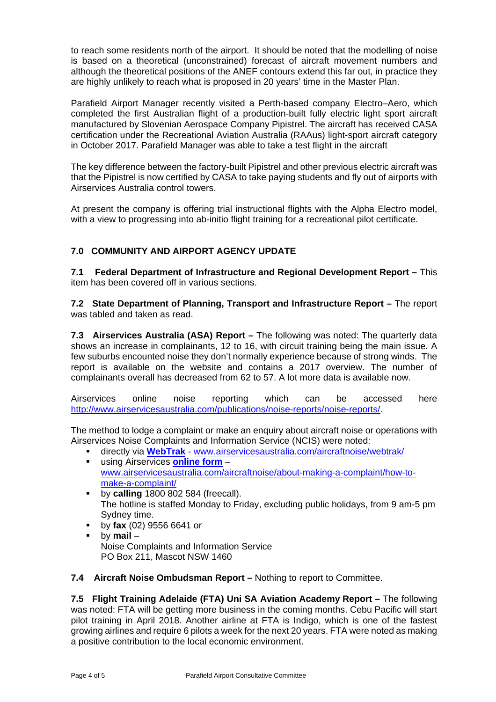to reach some residents north of the airport. It should be noted that the modelling of noise is based on a theoretical (unconstrained) forecast of aircraft movement numbers and although the theoretical positions of the ANEF contours extend this far out, in practice they are highly unlikely to reach what is proposed in 20 years' time in the Master Plan.

Parafield Airport Manager recently visited a Perth-based company Electro–Aero, which completed the first Australian flight of a production-built fully electric light sport aircraft manufactured by Slovenian Aerospace Company Pipistrel. The aircraft has received CASA certification under the Recreational Aviation Australia (RAAus) light-sport aircraft category in October 2017. Parafield Manager was able to take a test flight in the aircraft

The key difference between the factory-built Pipistrel and other previous electric aircraft was that the Pipistrel is now certified by CASA to take paying students and fly out of airports with Airservices Australia control towers.

At present the company is offering trial instructional flights with the Alpha Electro model, with a view to progressing into ab-initio flight training for a recreational pilot certificate.

# **7.0 COMMUNITY AND AIRPORT AGENCY UPDATE**

**7.1 Federal Department of Infrastructure and Regional Development Report –** This item has been covered off in various sections.

**7.2 State Department of Planning, Transport and Infrastructure Report –** The report was tabled and taken as read.

**7.3 Airservices Australia (ASA) Report –** The following was noted: The quarterly data shows an increase in complainants, 12 to 16, with circuit training being the main issue. A few suburbs encounted noise they don't normally experience because of strong winds. The report is available on the website and contains a 2017 overview. The number of complainants overall has decreased from 62 to 57. A lot more data is available now.

Airservices online noise reporting which can be accessed here http://www.airservicesaustralia.com/publications/noise-reports/noise-reports/.

The method to lodge a complaint or make an enquiry about aircraft noise or operations with Airservices Noise Complaints and Information Service (NCIS) were noted:

- directly via **WebTrak** www.airservicesaustralia.com/aircraftnoise/webtrak/ using Airservices **online form** – www.airservicesaustralia.com/aircraftnoise/about-making-a-complaint/how-to-
- make-a-complaint/ by **calling** 1800 802 584 (freecall). The hotline is staffed Monday to Friday, excluding public holidays, from 9 am-5 pm Sydney time.
- by **fax** (02) 9556 6641 or
- by **mail** Noise Complaints and Information Service PO Box 211, Mascot NSW 1460

**7.4 Aircraft Noise Ombudsman Report –** Nothing to report to Committee.

**7.5 Flight Training Adelaide (FTA) Uni SA Aviation Academy Report –** The following was noted: FTA will be getting more business in the coming months. Cebu Pacific will start pilot training in April 2018. Another airline at FTA is Indigo, which is one of the fastest growing airlines and require 6 pilots a week for the next 20 years. FTA were noted as making a positive contribution to the local economic environment.